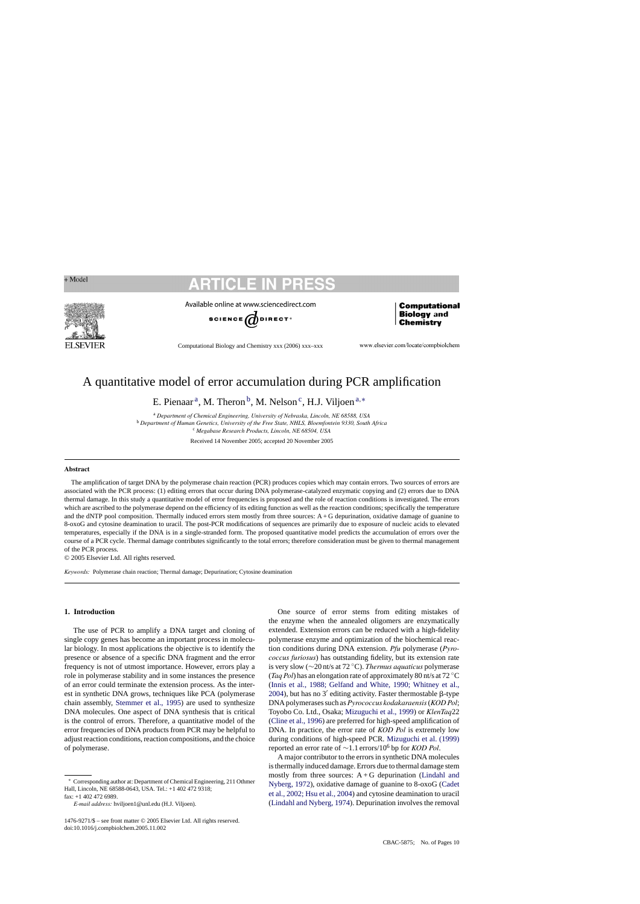

Available online at www.sciencedirect.com



Computational Biology and Chemistry xxx (2006) xxx–xxx

www.elsevier.com/locate/compbiolchem

Computational **Biology** and

**Chemistry** 

# A quantitative model of error accumulation during PCR amplification

E. Pienaar<sup>a</sup>, M. Theron<sup>b</sup>, M. Nelson<sup>c</sup>, H.J. Viljoen<sup>a,\*</sup>

<sup>a</sup> *Department of Chemical Engineering, University of Nebraska, Lincoln, NE 68588, USA* <sup>b</sup> *Department of Human Genetics, University of the Free State, NHLS, Bloemfontein 9330, South Africa* <sup>c</sup> *Megabase Research Products, Lincoln, NE 68504, USA*

Received 14 November 2005; accepted 20 November 2005

### **Abstract**

The amplification of target DNA by the polymerase chain reaction (PCR) produces copies which may contain errors. Two sources of errors are associated with the PCR process: (1) editing errors that occur during DNA polymerase-catalyzed enzymatic copying and (2) errors due to DNA thermal damage. In this study a quantitative model of error frequencies is proposed and the role of reaction conditions is investigated. The errors which are ascribed to the polymerase depend on the efficiency of its editing function as well as the reaction conditions; specifically the temperature and the dNTP pool composition. Thermally induced errors stem mostly from three sources: A + G depurination, oxidative damage of guanine to 8-oxoG and cytosine deamination to uracil. The post-PCR modifications of sequences are primarily due to exposure of nucleic acids to elevated temperatures, especially if the DNA is in a single-stranded form. The proposed quantitative model predicts the accumulation of errors over the course of a PCR cycle. Thermal damage contributes significantly to the total errors; therefore consideration must be given to thermal management of the PCR process.

© 2005 Elsevier Ltd. All rights reserved.

*Keywords:* Polymerase chain reaction; Thermal damage; Depurination; Cytosine deamination

## **1. Introduction**

The use of PCR to amplify a DNA target and cloning of single copy genes has become an important process in molecular biology. In most applications the objective is to identify the presence or absence of a specific DNA fragment and the error frequency is not of utmost importance. However, errors play a role in polymerase stability and in some instances the presence of an error could terminate the extension process. As the interest in synthetic DNA grows, techniques like PCA (polymerase chain assembly, [Stemmer et al., 1995\)](#page-9-0) are used to synthesize DNA molecules. One aspect of DNA synthesis that is critical is the control of errors. Therefore, a quantitative model of the error frequencies of DNA products from PCR may be helpful to adjust reaction conditions, reaction compositions, and the choice of polymerase.

One source of error stems from editing mistakes of the enzyme when the annealed oligomers are enzymatically extended. Extension errors can be reduced with a high-fidelity polymerase enzyme and optimization of the biochemical reaction conditions during DNA extension. *Pfu* polymerase (*Pyrococcus furiosus*) has outstanding fidelity, but its extension rate is very slow (∼20 nt/s at 72 ◦C). *Thermus aquaticus* polymerase (*Taq Pol*) has an elongation rate of approximately 80 nt/s at 72 ◦C ([Innis et al., 1988; Gelfand and White, 1990; Whitney et al.,](#page-9-0) [2004\),](#page-9-0) but has no 3' editing activity. Faster thermostable  $\beta$ -type DNA polymerases such as*Pyrococcus kodakaraensis*(*KOD Pol*; Toyobo Co. Ltd., Osaka; [Mizuguchi et al., 1999\)](#page-9-0) or *KlenTaq*22 ([Cline et al., 1996\)](#page-9-0) are preferred for high-speed amplification of DNA. In practice, the error rate of *KOD Pol* is extremely low during conditions of high-speed PCR. [Mizuguchi et al. \(1999\)](#page-9-0) reported an error rate of <sup>∼</sup>1.1 errors/10<sup>6</sup> bp for *KOD Pol*.

A major contributor to the errors in synthetic DNA molecules is thermally induced damage. Errors due to thermal damage stem mostly from three sources:  $A + G$  depurination [\(Lindahl and](#page-9-0) [Nyberg, 1972\),](#page-9-0) oxidative damage of guanine to 8-oxoG [\(Cadet](#page-9-0) [et al., 2002; Hsu et al., 2004\)](#page-9-0) and cytosine deamination to uracil ([Lindahl and Nyberg, 1974\).](#page-9-0) Depurination involves the removal

Corresponding author at: Department of Chemical Engineering, 211 Othmer Hall, Lincoln, NE 68588-0643, USA. Tel.: +1 402 472 9318; fax: +1 402 472 6989.

*E-mail address:* hviljoen1@unl.edu (H.J. Viljoen).

<sup>1476-9271/\$ –</sup> see front matter © 2005 Elsevier Ltd. All rights reserved. doi:10.1016/j.compbiolchem.2005.11.002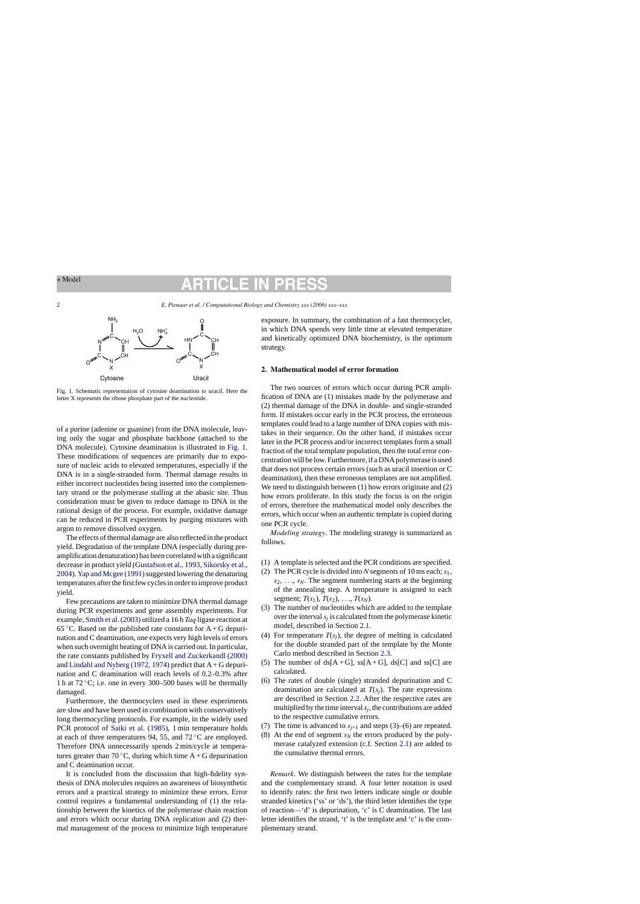# $(\cap$

2 *E. Pienaar et al. / Computational Biology and Chemistry xxx (2006) xxx–xxx*



Fig. 1. Schematic representation of cytosine deamination to uracil. Here the letter X represents the ribose phosphate part of the nucleotide.

of a purine (adenine or guanine) from the DNA molecule, leaving only the sugar and phosphate backbone (attached to the DNA molecule). Cytosine deamination is illustrated in Fig. 1. These modifications of sequences are primarily due to exposure of nucleic acids to elevated temperatures, especially if the DNA is in a single-stranded form. Thermal damage results in either incorrect nucleotides being inserted into the complementary strand or the polymerase stalling at the abasic site. Thus consideration must be given to reduce damage to DNA in the rational design of the process. For example, oxidative damage can be reduced in PCR experiments by purging mixtures with argon to remove dissolved oxygen.

The effects of thermal damage are also reflected in the product yield. Degradation of the template DNA (especially during preamplification denaturation) has been correlated with a significant decrease in product yield ([Gustafson et al., 1993,](#page-9-0) [Sikorsky et al.,](#page-9-0) [2004\).](#page-9-0) Yap and Mcgee (1991) suggested lowering the denaturing temperatures after the first few cycles in order to improve product yield.

Few precautions are taken to minimize DNA thermal damage during PCR experiments and gene assembly experiments. For example, [Smith et al. \(2003\)](#page-9-0) utilized a 16 h *Taq* ligase reaction at 65 °C. Based on the published rate constants for  $A + G$  depurination and C deamination, one expects very high levels of errors when such overnight heating of DNA is carried out. In particular, the rate constants published by [Fryxell and Zuckerkandl \(2000\)](#page-9-0) and [Lindahl and Nyberg \(1972, 1974\)](#page-9-0) predict that  $A + G$  depurination and C deamination will reach levels of 0.2–0.3% after 1 h at 72 ◦C; i.e. one in every 300–500 bases will be thermally damaged.

Furthermore, the thermocyclers used in these experiments are slow and have been used in combination with conservatively long thermocycling protocols. For example, in the widely used PCR protocol of [Saiki et al. \(1985\),](#page-9-0) 1 min temperature holds at each of three temperatures 94, 55, and  $72^{\circ}$ C are employed. Therefore DNA unnecessarily spends 2 min/cycle at temperatures greater than 70  $°C$ , during which time A + G depurination and C deamination occur.

It is concluded from the discussion that high-fidelity synthesis of DNA molecules requires an awareness of biosynthetic errors and a practical strategy to minimize these errors. Error control requires a fundamental understanding of (1) the relationship between the kinetics of the polymerase chain reaction and errors which occur during DNA replication and (2) thermal management of the process to minimize high temperature

exposure. In summary, the combination of a fast thermocycler, in which DNA spends very little time at elevated temperature and kinetically optimized DNA biochemistry, is the optimum strategy.

## **2. Mathematical model of error formation**

The two sources of errors which occur during PCR amplification of DNA are (1) mistakes made by the polymerase and (2) thermal damage of the DNA in double- and single-stranded form. If mistakes occur early in the PCR process, the erroneous templates could lead to a large number of DNA copies with mistakes in their sequence. On the other hand, if mistakes occur later in the PCR process and/or incorrect templates form a small fraction of the total template population, then the total error concentration will be low. Furthermore, if a DNA polymerase is used that does not process certain errors (such as uracil insertion or C deamination), then these erroneous templates are not amplified. We need to distinguish between (1) how errors originate and (2) how errors proliferate. In this study the focus is on the origin of errors, therefore the mathematical model only describes the errors, which occur when an authentic template is copied during one PCR cycle.

*Modeling strategy*. The modeling strategy is summarized as follows.

- (1) A template is selected and the PCR conditions are specified.
- (2) The PCR cycle is divided into *N* segments of 10 ms each;*s*1, *s*2, ..., *sN*. The segment numbering starts at the beginning of the annealing step. A temperature is assigned to each segment;  $T(s_1)$ ,  $T(s_2)$ , ...,  $T(s_N)$ .
- (3) The number of nucleotides which are added to the template over the interval  $s_i$  is calculated from the polymerase kinetic model, described in Section [2.1.](#page-2-0)
- (4) For temperature  $T(s_i)$ , the degree of melting is calculated for the double stranded part of the template by the Monte Carlo method described in Section [2.3.](#page-3-0)
- (5) The number of  $ds[A+G]$ ,  $ss[A+G]$ ,  $ds[C]$  and  $ss[C]$  are calculated.
- (6) The rates of double (single) stranded depurination and C deamination are calculated at  $T(s_j)$ . The rate expressions are described in Section [2.2.](#page-3-0) After the respective rates are multiplied by the time interval*sj*, the contributions are added to the respective cumulative errors.
- (7) The time is advanced to  $s_{i+1}$  and steps (3)–(6) are repeated.
- (8) At the end of segment  $s_N$  the errors produced by the polymerase catalyzed extension (c.f. Section [2.1\)](#page-2-0) are added to the cumulative thermal errors.

*Remark*. We distinguish between the rates for the template and the complementary strand. A four letter notation is used to identify rates: the first two letters indicate single or double stranded kinetics ('ss' or 'ds'), the third letter identifies the type of reaction—'d' is depurination, 'c' is C deamination. The last letter identifies the strand, 't' is the template and 'c' is the complementary strand.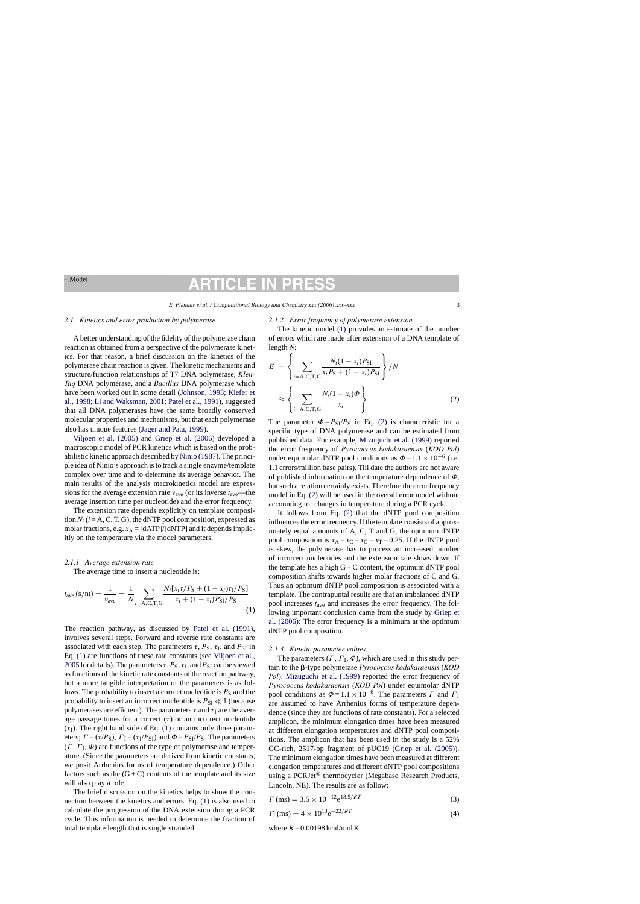# CH I

### <span id="page-2-0"></span>*2.1. Kinetics and error production by polymerase*

A better understanding of the fidelity of the polymerase chain reaction is obtained from a perspective of the polymerase kinetics. For that reason, a brief discussion on the kinetics of the polymerase chain reaction is given. The kinetic mechanisms and structure/function relationships of T7 DNA polymerase, *Klen-Taq* DNA polymerase, and a *Bacillus* DNA polymerase which have been worked out in some detail [\(Johnson, 1993; Kiefer et](#page-9-0) [al., 1998; Li and Waksman, 2001;](#page-9-0) [Patel et al., 1991\),](#page-9-0) suggested that all DNA polymerases have the same broadly conserved molecular properties and mechanisms, but that each polymerase also has unique features ([Jager and Pata, 1999\).](#page-9-0)

[Viljoen et al. \(2005\)](#page-9-0) and [Griep et al. \(2006\)](#page-9-0) developed a macroscopic model of PCR kinetics which is based on the probabilistic kinetic approach described by [Ninio \(1987\). T](#page-9-0)he principle idea of Ninio's approach is to track a single enzyme/template complex over time and to determine its average behavior. The main results of the analysis macrokinetics model are expressions for the average extension rate  $v_{\text{ave}}$  (or its inverse  $t_{\text{ave}}$ —the average insertion time per nucleotide) and the error frequency.

The extension rate depends explicitly on template composition  $N_i$  ( $i = A, C, T, G$ ), the dNTP pool composition, expressed as molar fractions, e.g.  $x_A = [dATP]/[dNTP]$  and it depends implicitly on the temperature via the model parameters.

### *2.1.1. Average extension rate*

The average time to insert a nucleotide is:

$$
t_{\text{ave}}\left(s/\text{nt}\right) = \frac{1}{v_{\text{ave}}} = \frac{1}{N} \sum_{i=A,C,T,G} \frac{N_i[x_i \tau / P_S + (1 - x_i)\tau_I / P_S]}{x_i + (1 - x_i)P_{\text{SI}} / P_S} \tag{1}
$$

The reaction pathway, as discussed by [Patel](#page-9-0) [et al. \(1991\),](#page-9-0) involves several steps. Forward and reverse rate constants are associated with each step. The parameters  $\tau$ ,  $P_S$ ,  $\tau_I$ , and  $P_{SI}$  in Eq. (1) are functions of these rate constants (see [Viljoen et al.,](#page-9-0) [2005](#page-9-0) for details). The parameters  $\tau$ ,  $P_S$ ,  $\tau_I$ , and  $P_{SI}$  can be viewed as functions of the kinetic rate constants of the reaction pathway, but a more tangible interpretation of the parameters is as follows. The probability to insert a correct nucleotide is  $P<sub>S</sub>$  and the probability to insert an incorrect nucleotide is  $P_{SI} \ll 1$  (because polymerases are efficient). The parameters  $\tau$  and  $\tau$ <sub>I</sub> are the average passage times for a correct  $(\tau)$  or an incorrect nucleotide  $(\tau)$ . The right hand side of Eq. (1) contains only three parameters;  $\Gamma = (\tau/P_S)$ ,  $\Gamma_I = (\tau_I/P_{SI})$  and  $\Phi = P_{SI}/P_S$ . The parameters  $(\Gamma, \Gamma, \Phi)$  are functions of the type of polymerase and temperature. (Since the parameters are derived from kinetic constants, we posit Arrhenius forms of temperature dependence.) Other factors such as the  $(G+C)$  contents of the template and its size will also play a role.

The brief discussion on the kinetics helps to show the connection between the kinetics and errors. Eq. (1) is also used to calculate the progression of the DNA extension during a PCR cycle. This information is needed to determine the fraction of total template length that is single stranded.

### *2.1.2. Error frequency of polymerase extension*

The kinetic model (1) provides an estimate of the number of errors which are made after extension of a DNA template of length *N*:

$$
E = \left\{ \sum_{i=A,C,T,G} \frac{N_i (1-x_i) P_{\text{SI}}}{x_i P_{\text{S}} + (1-x_i) P_{\text{SI}}} \right\} / N
$$

$$
\approx \left\{ \sum_{i=A,C,T,G} \frac{N_i (1-x_i) \Phi}{x_i} \right\}
$$
(2)

The parameter  $\Phi = P_{SI}/P_S$  in Eq. (2) is characteristic for a specific type of DNA polymerase and can be estimated from published data. For example, [Mizuguchi et al. \(1999\)](#page-9-0) reported the error frequency of *Pyrococcus kodakaraensis* (*KOD Pol*) under equimolar dNTP pool conditions as  $\Phi = 1.1 \times 10^{-6}$  (i.e. 1.1 errors/million base pairs). Till date the authors are not aware of published information on the temperature dependence of  $\Phi$ , but such a relation certainly exists. Therefore the error frequency model in Eq. (2) will be used in the overall error model without accounting for changes in temperature during a PCR cycle.

It follows from Eq. (2) that the dNTP pool composition influences the error frequency. If the template consists of approximately equal amounts of A, C, T and G, the optimum dNTP pool composition is  $x_A = x_C = x_G = x_T = 0.25$ . If the dNTP pool is skew, the polymerase has to process an increased number of incorrect nucleotides and the extension rate slows down. If the template has a high  $G + C$  content, the optimum dNTP pool composition shifts towards higher molar fractions of C and G. Thus an optimum dNTP pool composition is associated with a template. The contrapuntal results are that an imbalanced dNTP pool increases *t*ave and increases the error frequency. The following important conclusion came from the study by [Griep et](#page-9-0) [al. \(2006\):](#page-9-0) The error frequency is a minimum at the optimum dNTP pool composition.

### *2.1.3. Kinetic parameter values*

The parameters  $(\Gamma, \Gamma_{\rm I}, \Phi)$ , which are used in this study pertain to the  $\beta$ -type polymerase *Pyrococcus kodakaraensis* (*KOD Pol*). [Mizuguchi et al. \(1999\)](#page-9-0) reported the error frequency of *Pyrococcus kodakaraensis* (*KOD Pol*) under equimolar dNTP pool conditions as  $\Phi = 1.1 \times 10^{-6}$ . The parameters  $\Gamma$  and  $\Gamma$ <sub>I</sub> are assumed to have Arrhenius forms of temperature dependence (since they are functions of rate constants). For a selected amplicon, the minimum elongation times have been measured at different elongation temperatures and dNTP pool compositions. The amplicon that has been used in the study is a 52% GC-rich, 2517-bp fragment of pUC19 ([Griep et al. \(2005\)\).](#page-9-0) The minimum elongation times have been measured at different elongation temperatures and different dNTP pool compositions using a PCRJet® thermocycler (Megabase Research Products, Lincoln, NE). The results are as follow:

$$
\Gamma \text{(ms)} = 3.5 \times 10^{-12} \text{e}^{18.5/RT} \tag{3}
$$

$$
\Gamma_{\rm I} \, (\rm ms) = 4 \times 10^{13} \, \mathrm{e}^{-22/RT} \tag{4}
$$

where  $R = 0.00198$  kcal/mol K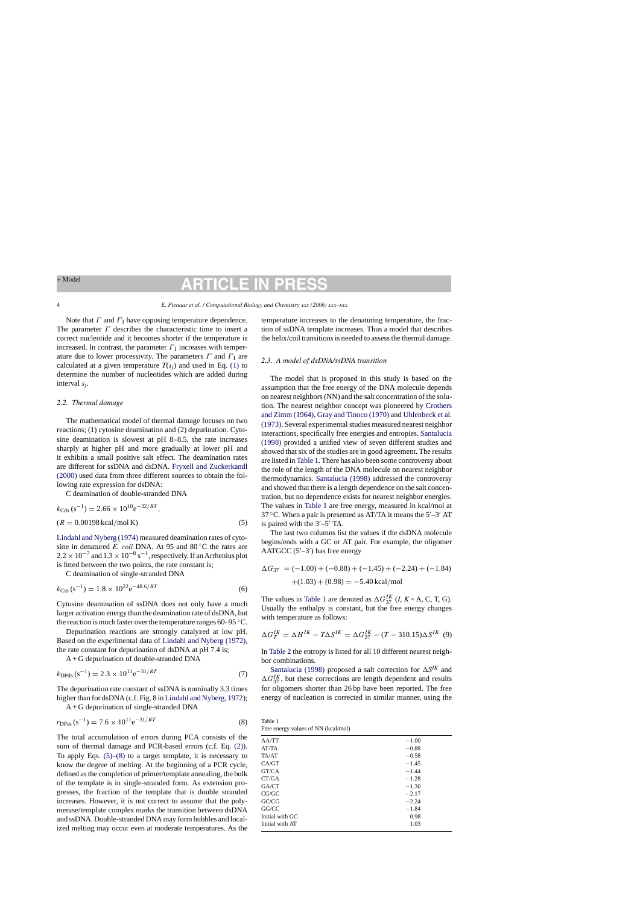<span id="page-3-0"></span>Note that  $\Gamma$  and  $\Gamma$ <sub>I</sub> have opposing temperature dependence. The parameter  $\Gamma$  describes the characteristic time to insert a correct nucleotide and it becomes shorter if the temperature is increased. In contrast, the parameter  $\Gamma_I$  increases with temperature due to lower processivity. The parameters  $\Gamma$  and  $\Gamma$ <sup>I</sup> are calculated at a given temperature  $T(s_i)$  and used in Eq. [\(1\)](#page-2-0) to determine the number of nucleotides which are added during interval *sj*.

## *2.2. Thermal damage*

The mathematical model of thermal damage focuses on two reactions; (1) cytosine deamination and (2) depurination. Cytosine deamination is slowest at pH 8–8.5, the rate increases sharply at higher pH and more gradually at lower pH and it exhibits a small positive salt effect. The deamination rates are different for ssDNA and dsDNA. [Fryxell and Zuckerkandl](#page-9-0) [\(2000\)](#page-9-0) used data from three different sources to obtain the following rate expression for dsDNA:

C deamination of double-stranded DNA

 $k_{\text{Cds}}$  (s<sup>-1</sup>) = 2.66 × 10<sup>10</sup>e<sup>-32/RT</sup>.  $(R = 0.00198 \text{ kcal/mol K})$  (5)

[Lindahl and Nyberg \(1974\)](#page-9-0) measured deamination rates of cytosine in denatured *E. coli* DNA. At 95 and 80 ◦C the rates are  $2.2 \times 10^{-7}$  and  $1.3 \times 10^{-8}$  s<sup>-1</sup>, respectively. If an Arrhenius plot is fitted between the two points, the rate constant is;

C deamination of single-stranded DNA

$$
k_{\text{Css}}\left(s^{-1}\right) = 1.8 \times 10^{22} \text{e}^{-48.6/RT} \tag{6}
$$

Cytosine deamination of ssDNA does not only have a much larger activation energy than the deamination rate of dsDNA, but the reaction is much faster over the temperature ranges 60–95 ◦C.

Depurination reactions are strongly catalyzed at low pH. Based on the experimental data of [Lindahl and Nyberg \(1972\),](#page-9-0) the rate constant for depurination of dsDNA at pH 7.4 is;

 $A + G$  depurination of double-stranded DNA

$$
k_{\rm DPds} \, (\rm s^{-1}) = 2.3 \times 10^{11} \rm e^{-31/RT} \tag{7}
$$

The depurination rate constant of ssDNA is nominally 3.3 times higher than for dsDNA (c.f. Fig. 8 in [Lindahl and Nyberg, 1972\);](#page-9-0)

A + G depurination of single-stranded DNA

$$
r_{\rm DPSs} \, (\rm s^{-1}) = 7.6 \times 10^{11} \rm e^{-31/RT} \tag{8}
$$

The total accumulation of errors during PCA consists of the sum of thermal damage and PCR-based errors (c.f. Eq. [\(2\)\).](#page-2-0) To apply Eqs.  $(5)$ – $(8)$  to a target template, it is necessary to know the degree of melting. At the beginning of a PCR cycle, defined as the completion of primer/template annealing, the bulk of the template is in single-stranded form. As extension progresses, the fraction of the template that is double stranded increases. However, it is not correct to assume that the polymerase/template complex marks the transition between dsDNA and ssDNA. Double-stranded DNA may form bubbles and localized melting may occur even at moderate temperatures. As the temperature increases to the denaturing temperature, the fraction of ssDNA template increases. Thus a model that describes the helix/coil transitions is needed to assess the thermal damage.

## *2.3. A model of dsDNA/ssDNA transition*

The model that is proposed in this study is based on the assumption that the free energy of the DNA molecule depends on nearest neighbors (NN) and the salt concentration of the solution. The nearest neighbor concept was pioneered by [Crothers](#page-9-0) [and Zimm \(1964\),](#page-9-0) [Gray and Tinoco \(1970\)](#page-9-0) and [Uhlenbeck et al.](#page-9-0) [\(1973\). S](#page-9-0)everal experimental studies measured nearest neighbor interactions, specifically free energies and entropies. [Santalucia](#page-9-0) [\(1998\)](#page-9-0) provided a unified view of seven different studies and showed that six of the studies are in good agreement. The results are listed in Table 1. There has also been some controversy about the role of the length of the DNA molecule on nearest neighbor thermodynamics. [Santalucia \(1998\)](#page-9-0) addressed the controversy and showed that there is a length dependence on the salt concentration, but no dependence exists for nearest neighbor energies. The values in Table 1 are free energy, measured in kcal/mol at 37 °C. When a pair is presented as AT/TA it means the  $5'-3'$  AT is paired with the  $3'$ –5' TA.

The last two columns list the values if the dsDNA molecule begins/ends with a GC or AT pair. For example, the oligomer AATGCC  $(5'–3')$  has free energy

$$
\Delta G_{37} = (-1.00) + (-0.88) + (-1.45) + (-2.24) + (-1.84)
$$

$$
+ (1.03) + (0.98) = -5.40 \text{ kcal/mol}
$$

The values in Table 1 are denoted as  $\Delta G_{37}^{IK}$  (*I*, *K* = A, C, T, G). Usually the enthalpy is constant, but the free energy changes with temperature as follows:

$$
\Delta G_T^{IK} = \Delta H^{IK} - T\Delta S^{IK} = \Delta G_{37}^{IK} - (T - 310.15)\Delta S^{IK}
$$
 (9)

In [Table 2](#page-4-0) the entropy is listed for all 10 different nearest neighbor combinations.

[Santalucia \(1998\)](#page-9-0) proposed a salt correction for  $\Delta S^{IK}$  and  $\Delta G_{37}^{IK}$ , but these corrections are length dependent and results for oligomers shorter than 26 bp have been reported. The free energy of nucleation is corrected in similar manner, using the

| Table 1 |                                     |
|---------|-------------------------------------|
|         | Free energy values of NN (kcal/mol) |

| AA/TT           | $-1.00$ |
|-----------------|---------|
| AT/TA           | $-0.88$ |
| TA/AT           | $-0.58$ |
| CA/GT           | $-1.45$ |
| GT/CA           | $-1.44$ |
| CT/GA           | $-1.28$ |
| GA/CT           | $-1.30$ |
| CG/GC           | $-2.17$ |
| GC/CG           | $-2.24$ |
| $G$ $G$ $C$ $C$ | $-1.84$ |
| Initial with GC | 0.98    |
| Initial with AT | 1.03    |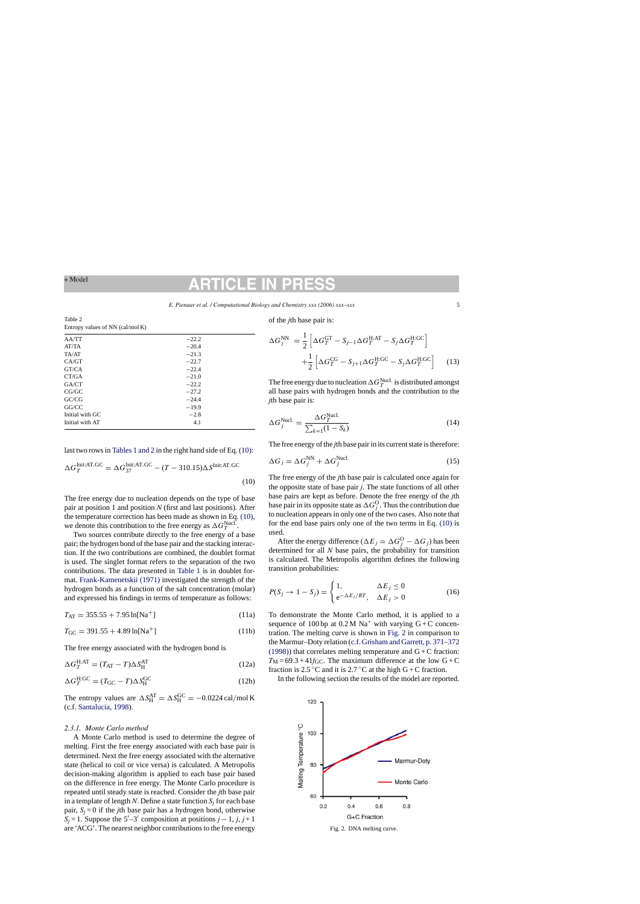*E. Pienaar et al. / Computational Biology and Chemistry xxx (2006) xxx–xxx* 5

<span id="page-4-0"></span>

| Table 2                                   |  |
|-------------------------------------------|--|
| Entropy values of NN $\text{(cal/mol K)}$ |  |

| AA/TT           | $-22.2$ |
|-----------------|---------|
| AT/TA           | $-20.4$ |
| TA/AT           | $-21.3$ |
| CA/GT           | $-22.7$ |
| GT/CA           | $-22.4$ |
| CT/GA           | $-21.0$ |
| GA/CT           | $-22.2$ |
| CG/GC           | $-27.2$ |
| GC/CG           | $-24.4$ |
| GG/CC           | $-19.9$ |
| Initial with GC | $-2.8$  |
| Initial with AT | 4.1     |
|                 |         |

last two rows in [Tables 1 and 2](#page-3-0) in the right hand side of Eq. (10):

$$
\Delta G_T^{\text{Init:AT,GC}} = \Delta G_{37}^{\text{Init:AT,GC}} - (T - 310.15) \Delta S_{\text{Init:AT,GC}}
$$
\n(10)

The free energy due to nucleation depends on the type of base pair at position 1 and position *N* (first and last positions). After the temperature correction has been made as shown in Eq. (10), we denote this contribution to the free energy as  $\Delta G_T^{\text{Nucl}}$ .

Two sources contribute directly to the free energy of a base pair; the hydrogen bond of the base pair and the stacking interaction. If the two contributions are combined, the doublet format is used. The singlet format refers to the separation of the two contributions. The data presented in [Table 1](#page-3-0) is in doublet format. [Frank-Kamenetskii \(1971\)](#page-9-0) investigated the strength of the hydrogen bonds as a function of the salt concentration (molar) and expressed his findings in terms of temperature as follows:

$$
T_{\rm AT} = 355.55 + 7.95 \ln[\text{Na}^+]
$$
 (11a)

$$
T_{\rm GC} = 391.55 + 4.89 \ln[\text{Na}^+] \tag{11b}
$$

The free energy associated with the hydrogen bond is

$$
\Delta G_T^{\text{H:AT}} = (T_{\text{AT}} - T)\Delta S_{\text{H}}^{\text{AT}} \tag{12a}
$$

$$
\Delta G_T^{\text{H:GC}} = (T_{\text{GC}} - T)\Delta S_{\text{H}}^{\text{GC}} \tag{12b}
$$

The entropy values are  $\Delta S_{\text{H}}^{\text{AT}} = \Delta S_{\text{H}}^{\text{GC}} = -0.0224 \text{ cal/mol K}$ (c.f. [Santalucia, 1998\).](#page-9-0)

### *2.3.1. Monte Carlo method*

A Monte Carlo method is used to determine the degree of melting. First the free energy associated with each base pair is determined. Next the free energy associated with the alternative state (helical to coil or vice versa) is calculated. A Metropolis decision-making algorithm is applied to each base pair based on the difference in free energy. The Monte Carlo procedure is repeated until steady state is reached. Consider the *j*th base pair in a template of length *N*. Define a state function  $S_i$  for each base pair,  $S_i = 0$  if the *j*th base pair has a hydrogen bond, otherwise  $S_j = 1$ . Suppose the 5'–3' composition at positions  $j - 1$ ,  $j$ ,  $j + 1$ are 'ACG'. The nearest neighbor contributions to the free energy

of the *j*th base pair is:

$$
\Delta G_j^{\text{NN}} = \frac{1}{2} \left[ \Delta G_T^{\text{GT}} - S_{j-1} \Delta G_T^{\text{H:AT}} - S_j \Delta G_T^{\text{H:GC}} \right]
$$

$$
+ \frac{1}{2} \left[ \Delta G_T^{\text{CG}} - S_{j+1} \Delta G_T^{\text{H:GC}} - S_j \Delta G_T^{\text{H:GC}} \right]
$$
(13)

The free energy due to nucleation  $\Delta G_T^{\text{Nucl.}}$  is distributed amongst all base pairs with hydrogen bonds and the contribution to the *j*th base pair is:

$$
\Delta G_j^{\text{Nucl.}} = \frac{\Delta G_T^{\text{Nucl.}}}{\sum_{k=1}^{N} (1 - S_k)}\tag{14}
$$

The free energy of the *j*th base pair in its current state is therefore:

$$
\Delta G_j = \Delta G_j^{\text{NN}} + \Delta G_j^{\text{Nucl.}} \tag{15}
$$

The free energy of the *j*th base pair is calculated once again for the opposite state of base pair *j*. The state functions of all other base pairs are kept as before. Denote the free energy of the *j*th base pair in its opposite state as  $\Delta G_{j}^{\rm O}$  . Thus the contribution due to nucleation appears in only one of the two cases. Also note that for the end base pairs only one of the two terms in Eq. (10) is used.

After the energy difference ( $\Delta E_j = \Delta G_j^{\rm O} - \Delta G_j$ ) has been determined for all *N* base pairs, the probability for transition is calculated. The Metropolis algorithm defines the following transition probabilities:

$$
P(S_j \to 1 - S_j) = \begin{cases} 1, & \Delta E_j \le 0\\ e^{-\Delta E_j / RT}, & \Delta E_j > 0 \end{cases}
$$
(16)

To demonstrate the Monte Carlo method, it is applied to a sequence of 100 bp at  $0.2 M$  Na<sup>+</sup> with varying  $G + C$  concentration. The melting curve is shown in Fig. 2 in comparison to the Marmur–Doty relation [\(c.f. Grisham and Garrett, p. 371–372](#page-9-0) [\(1998\)\)](#page-9-0) that correlates melting temperature and  $G + C$  fraction:  $T_M = 69.3 + 41f_{GC}$ . The maximum difference at the low  $G + C$ fraction is 2.5 °C and it is 2.7 °C at the high  $G + C$  fraction.

In the following section the results of the model are reported.



Fig. 2. DNA melting curve.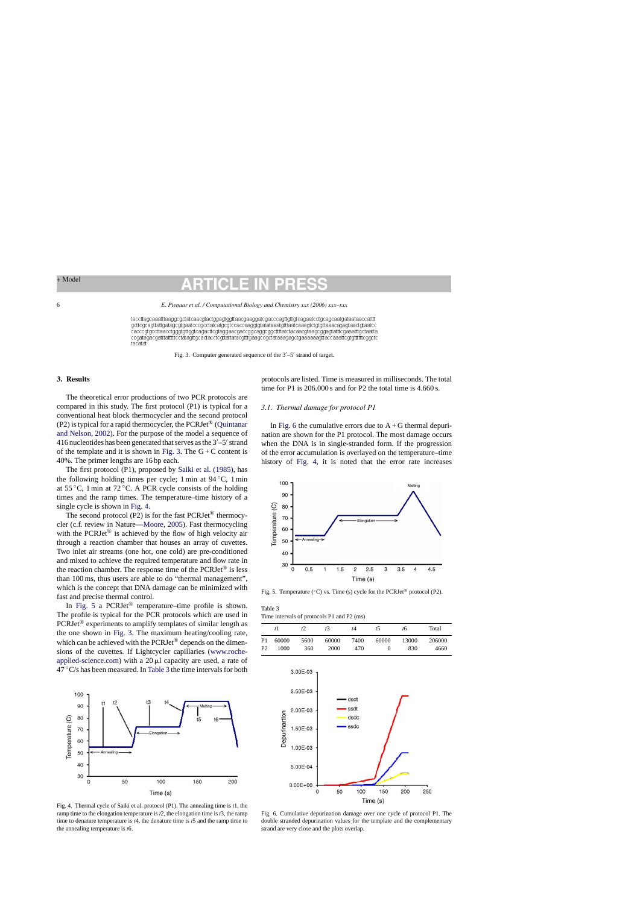### <span id="page-5-0"></span>6 *E. Pienaar et al. / Computational Biology and Chemistry xxx (2006) xxx–xxx*

taccttagcaaatttaaggcgctatcaacgtactggagtggttaacgaaggatcgacccagttgttgtcagaatcctgcagcaatgataataaccatttt gcttegeagttattgatagegtgaateeegectateatgegteeaeeaaggtgtatataaatgtttaateaaggtetgtgttaaaeagagtaactgtaatee cacccgtgccttaacctgggtgttggtcagacttcgtaggaacgaccggcaggcggcttttatctacaacgtaagcggagtatttcgaaatttgctaatta ccgatagacgatttatttttcctatagttgcactacctcgttattatacgtttgaagccgctataaagagctgaaaaagttaccaaattcgtgttttttcggctc tacatat

Fig. 3. Computer generated sequence of the  $3'-5'$  strand of target.

# **3. Results**

The theoretical error productions of two PCR protocols are compared in this study. The first protocol (P1) is typical for a conventional heat block thermocycler and the second protocol (P2) is typical for a rapid thermocycler, the PCRJet® [\(Quintanar](#page-9-0) [and Nelson, 2002\).](#page-9-0) For the purpose of the model a sequence of 416 nucleotides has been generated that serves as the  $3'-5'$  strand of the template and it is shown in Fig. 3. The  $G + C$  content is 40%. The primer lengths are 16 bp each.

The first protocol (P1), proposed by [Saiki et al. \(1985\),](#page-9-0) has the following holding times per cycle; 1 min at 94 ◦C, 1 min at 55  $\degree$ C, 1 min at 72  $\degree$ C. A PCR cycle consists of the holding times and the ramp times. The temperature–time history of a single cycle is shown in Fig. 4.

The second protocol (P2) is for the fast  $PCRJet^{\circledR}$  thermocycler (c.f. review in Nature—[Moore, 2005\).](#page-9-0) Fast thermocycling with the  $PCRJet^{\circledcirc}$  is achieved by the flow of high velocity air through a reaction chamber that houses an array of cuvettes. Two inlet air streams (one hot, one cold) are pre-conditioned and mixed to achieve the required temperature and flow rate in the reaction chamber. The response time of the  $PCRJet^{\circledR}$  is less than 100 ms, thus users are able to do "thermal management", which is the concept that DNA damage can be minimized with fast and precise thermal control.

In Fig. 5 a PCRJet<sup>®</sup> temperature–time profile is shown. The profile is typical for the PCR protocols which are used in PCRJet® experiments to amplify templates of similar length as the one shown in Fig. 3. The maximum heating/cooling rate, which can be achieved with the PCRJet® depends on the dimensions of the cuvettes. If Lightcycler capillaries [\(www.roche](http://www.roche-applied-science.com/)applied-science.com) with a  $20 \mu l$  capacity are used, a rate of  $47 \degree$ C/s has been measured. In Table 3 the time intervals for both



Fig. 4. Thermal cycle of Saiki et al. protocol (P1). The annealing time is *t*1, the ramp time to the elongation temperature is *t*2, the elongation time is *t*3, the ramp time to denature temperature is *t*4, the denature time is *t*5 and the ramp time to the annealing temperature is *t*6.

protocols are listed. Time is measured in milliseconds. The total time for P1 is 206,000 s and for P2 the total time is 4.660 s.

# *3.1. Thermal damage for protocol P1*

In Fig. 6 the cumulative errors due to  $A + G$  thermal depurination are shown for the P1 protocol. The most damage occurs when the DNA is in single-stranded form. If the progression of the error accumulation is overlayed on the temperature–time history of Fig. 4, it is noted that the error rate increases



Fig. 5. Temperature ( $°C$ ) vs. Time (s) cycle for the PCRJet<sup>®</sup> protocol (P2).

Table 3 Time intervals of protocols P1 and P2 (ms)

|                                  | t I           | ť2          | ť3            | t4          | t5    | t6           | Total          |  |
|----------------------------------|---------------|-------------|---------------|-------------|-------|--------------|----------------|--|
| P <sub>1</sub><br>P <sub>2</sub> | 60000<br>1000 | 5600<br>360 | 60000<br>2000 | 7400<br>470 | 60000 | 13000<br>830 | 206000<br>4660 |  |



Fig. 6. Cumulative depurination damage over one cycle of protocol P1. The double stranded depurination values for the template and the complementary strand are very close and the plots overlap.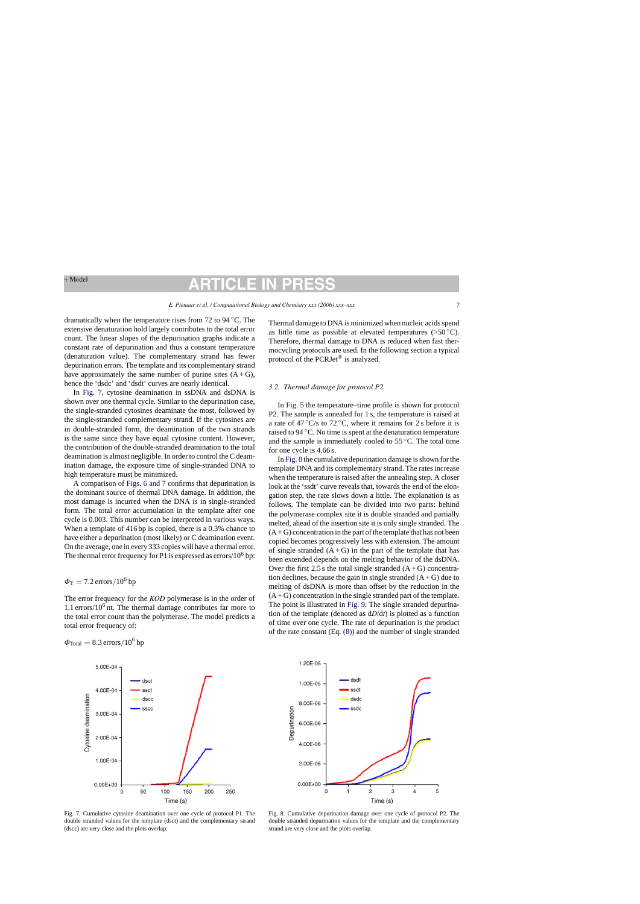dramatically when the temperature rises from 72 to 94 ◦C. The extensive denaturation hold largely contributes to the total error count. The linear slopes of the depurination graphs indicate a constant rate of depurination and thus a constant temperature (denaturation value). The complementary strand has fewer depurination errors. The template and its complementary strand have approximately the same number of purine sites  $(A+G)$ , hence the 'dsdc' and 'dsdt' curves are nearly identical.

In Fig. 7, cytosine deamination in ssDNA and dsDNA is shown over one thermal cycle. Similar to the depurination case, the single-stranded cytosines deaminate the most, followed by the single-stranded complementary strand. If the cytosines are in double-stranded form, the deamination of the two strands is the same since they have equal cytosine content. However, the contribution of the double-stranded deamination to the total deamination is almost negligible. In order to control the C deamination damage, the exposure time of single-stranded DNA to high temperature must be minimized.

A comparison of [Figs. 6 and 7](#page-5-0) confirms that depurination is the dominant source of thermal DNA damage. In addition, the most damage is incurred when the DNA is in single-stranded form. The total error accumulation in the template after one cycle is 0.003. This number can be interpreted in various ways. When a template of 416 bp is copied, there is a 0.3% chance to have either a depurination (most likely) or C deamination event. On the average, one in every 333 copies will have a thermal error. The thermal error frequency for P1 is expressed as  $\frac{error}{10^6}$  bp:

# $\Phi$ T = 7.2 errors/10<sup>6</sup> bp

The error frequency for the *KOD* polymerase is in the order of 1.1 errors/ $10<sup>6</sup>$  nt. The thermal damage contributes far more to the total error count than the polymerase. The model predicts a total error frequency of:

$$
\Phi_{\text{Total}} = 8.3 \,\text{errors}/10^6 \,\text{bp}
$$



Fig. 7. Cumulative cytosine deamination over one cycle of protocol P1. The double stranded values for the template (dsct) and the complementary strand (dscc) are very close and the plots overlap.

Thermal damage to DNA is minimized when nucleic acids spend as little time as possible at elevated temperatures  $(>50\degree C)$ . Therefore, thermal damage to DNA is reduced when fast thermocycling protocols are used. In the following section a typical protocol of the PCRJet® is analyzed.

### *3.2. Thermal damage for protocol P2*

In [Fig. 5](#page-5-0) the temperature–time profile is shown for protocol P2. The sample is annealed for 1 s, the temperature is raised at a rate of 47  $\mathrm{C/s}$  to 72 °C, where it remains for 2 s before it is raised to 94 ◦C. No time is spent at the denaturation temperature and the sample is immediately cooled to 55 ◦C. The total time for one cycle is 4.66 s.

In Fig. 8 the cumulative depurination damage is shown for the template DNA and its complementary strand. The rates increase when the temperature is raised after the annealing step. A closer look at the 'ssdt' curve reveals that, towards the end of the elongation step, the rate slows down a little. The explanation is as follows. The template can be divided into two parts: behind the polymerase complex site it is double stranded and partially melted, ahead of the insertion site it is only single stranded. The  $(A + G)$  concentration in the part of the template that has not been copied becomes progressively less with extension. The amount of single stranded  $(A+G)$  in the part of the template that has been extended depends on the melting behavior of the dsDNA. Over the first 2.5 s the total single stranded  $(A+G)$  concentration declines, because the gain in single stranded  $(A + G)$  due to melting of dsDNA is more than offset by the reduction in the  $(A + G)$  concentration in the single stranded part of the template. The point is illustrated in [Fig. 9.](#page-7-0) The single stranded depurination of the template (denoted as d*D*/d*t*) is plotted as a function of time over one cycle. The rate of depurination is the product of the rate constant (Eq. [\(8\)\)](#page-3-0) and the number of single stranded



Fig. 8. Cumulative depurination damage over one cycle of protocol P2. The double stranded depurination values for the template and the complementary strand are very close and the plots overlap.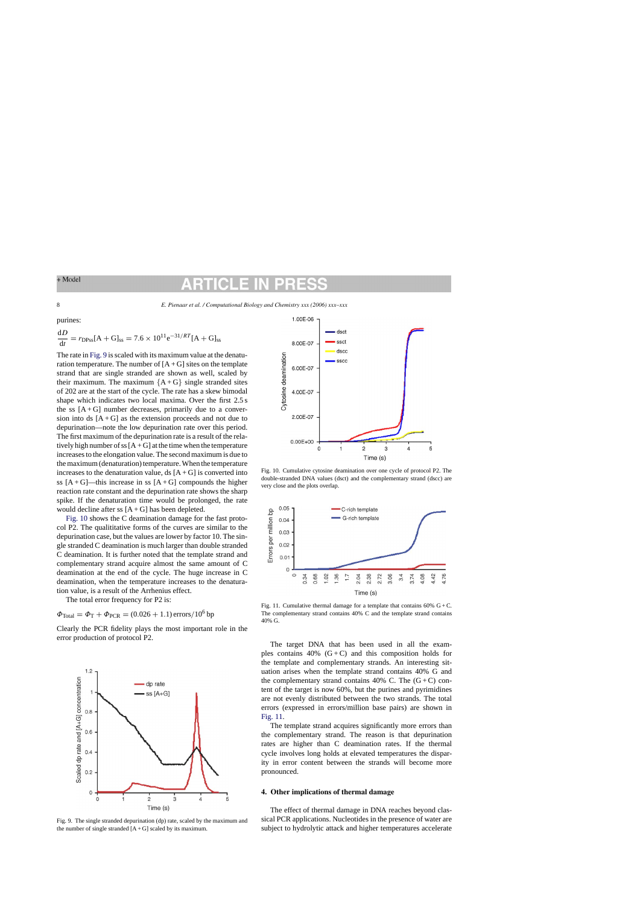<span id="page-7-0"></span>8 *E. Pienaar et al. / Computational Biology and Chemistry xxx (2006) xxx–xxx*

purines:

$$
\frac{dD}{dt} = r_{\text{DPss}}[A + G]_{\text{ss}} = 7.6 \times 10^{11} \text{e}^{-31/RT} [A + G]_{\text{ss}}
$$

The rate in Fig. 9 is scaled with its maximum value at the denaturation temperature. The number of  $[A + G]$  sites on the template strand that are single stranded are shown as well, scaled by their maximum. The maximum  ${A+G}$  single stranded sites of 202 are at the start of the cycle. The rate has a skew bimodal shape which indicates two local maxima. Over the first 2.5 s the ss  $[A + G]$  number decreases, primarily due to a conversion into ds  $[A + G]$  as the extension proceeds and not due to depurination—note the low depurination rate over this period. The first maximum of the depurination rate is a result of the relatively high number of ss  $[A + G]$  at the time when the temperature increases to the elongation value. The second maximum is due to the maximum (denaturation) temperature. When the temperature increases to the denaturation value, ds  $[A + G]$  is converted into ss  $[A+G]$ —this increase in ss  $[A+G]$  compounds the higher reaction rate constant and the depurination rate shows the sharp spike. If the denaturation time would be prolonged, the rate would decline after ss  $[A + G]$  has been depleted.

Fig. 10 shows the C deamination damage for the fast protocol P2. The qualititative forms of the curves are similar to the depurination case, but the values are lower by factor 10. The single stranded C deamination is much larger than double stranded C deamination. It is further noted that the template strand and complementary strand acquire almost the same amount of C deamination at the end of the cycle. The huge increase in C deamination, when the temperature increases to the denaturation value, is a result of the Arrhenius effect.

The total error frequency for P2 is:

 $\Phi_{\text{Total}} = \Phi_{\text{T}} + \Phi_{\text{PCR}} = (0.026 + 1.1) \text{ errors} / 10^6 \text{ bp}$ 

Clearly the PCR fidelity plays the most important role in the error production of protocol P2.







Fig. 10. Cumulative cytosine deamination over one cycle of protocol P2. The double-stranded DNA values (dsct) and the complementary strand (dscc) are very close and the plots overlap.



Fig. 11. Cumulative thermal damage for a template that contains  $60\%$  G + C. The complementary strand contains 40% C and the template strand contains 40% G.

The target DNA that has been used in all the examples contains  $40\%$  (G+C) and this composition holds for the template and complementary strands. An interesting situation arises when the template strand contains 40% G and the complementary strand contains 40% C. The  $(G+C)$  content of the target is now 60%, but the purines and pyrimidines are not evenly distributed between the two strands. The total errors (expressed in errors/million base pairs) are shown in Fig. 11.

The template strand acquires significantly more errors than the complementary strand. The reason is that depurination rates are higher than C deamination rates. If the thermal cycle involves long holds at elevated temperatures the disparity in error content between the strands will become more pronounced.

# **4. Other implications of thermal damage**

The effect of thermal damage in DNA reaches beyond classical PCR applications. Nucleotides in the presence of water are subject to hydrolytic attack and higher temperatures accelerate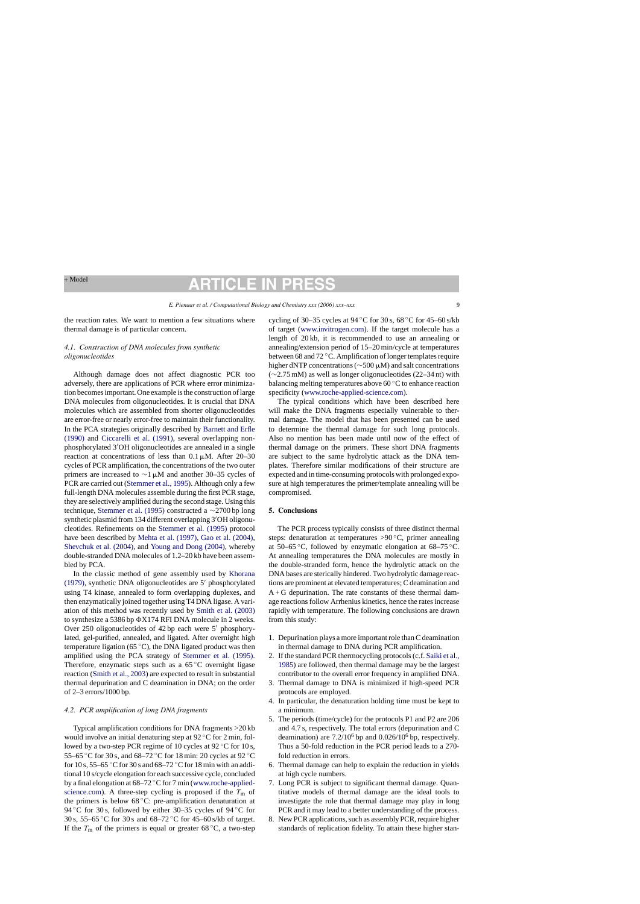# TICLE

the reaction rates. We want to mention a few situations where thermal damage is of particular concern.

# *4.1. Construction of DNA molecules from synthetic oligonucleotides*

Although damage does not affect diagnostic PCR too adversely, there are applications of PCR where error minimization becomes important. One example is the construction of large DNA molecules from oligonucleotides. It is crucial that DNA molecules which are assembled from shorter oligonucleotides are error-free or nearly error-free to maintain their functionality. In the PCA strategies originally described by [Barnett and Erfle](#page-9-0) [\(1990\)](#page-9-0) and [Ciccarelli et al. \(1991\),](#page-9-0) several overlapping nonphosphorylated 3 OH oligonucleotides are annealed in a single reaction at concentrations of less than  $0.1 \mu M$ . After 20–30 cycles of PCR amplification, the concentrations of the two outer primers are increased to  $\sim$ 1 µM and another 30–35 cycles of PCR are carried out ([Stemmer et al., 1995\).](#page-9-0) Although only a few full-length DNA molecules assemble during the first PCR stage, they are selectively amplified during the second stage. Using this technique, [Stemmer et al. \(1995\)](#page-9-0) constructed a ∼2700 bp long synthetic plasmid from 134 different overlapping 3'OH oligonucleotides. Refinements on the [Stemmer et al. \(1995\)](#page-9-0) protocol have been described by [Mehta et al. \(1997\),](#page-9-0) [Gao et al. \(2004\),](#page-9-0) [Shevchuk et al. \(2004\),](#page-9-0) and [Young and Dong \(2004\),](#page-9-0) whereby double-stranded DNA molecules of 1.2–20 kb have been assembled by PCA.

In the classic method of gene assembly used by [Khorana](#page-9-0) [\(1979\),](#page-9-0) synthetic DNA oligonucleotides are  $5'$  phosphorylated using T4 kinase, annealed to form overlapping duplexes, and then enzymatically joined together using T4 DNA ligase. A variation of this method was recently used by [Smith et al. \(2003\)](#page-9-0) to synthesize a 5386 bp  $\Phi$ X174 RFI DNA molecule in 2 weeks. Over 250 oligonucleotides of 42 bp each were  $5'$  phosphorylated, gel-purified, annealed, and ligated. After overnight high temperature ligation (65 ◦C), the DNA ligated product was then amplified using the PCA strategy of [Stemmer et al. \(1995\).](#page-9-0) Therefore, enzymatic steps such as a  $65^{\circ}$ C overnight ligase reaction [\(Smith et al., 2003\)](#page-9-0) are expected to result in substantial thermal depurination and C deamination in DNA; on the order of 2–3 errors/1000 bp.

# *4.2. PCR amplification of long DNA fragments*

Typical amplification conditions for DNA fragments >20 kb would involve an initial denaturing step at 92 ◦C for 2 min, followed by a two-step PCR regime of 10 cycles at  $92^{\circ}$ C for 10 s, 55–65 °C for 30 s, and 68–72 °C for 18 min: 20 cycles at 92 °C for 10 s, 55–65  $\mathrm{^{\circ}C}$  for 30 s and 68–72  $\mathrm{^{\circ}C}$  for 18 min with an additional 10 s/cycle elongation for each successive cycle, concluded by a final elongation at 68–72 ◦C for 7 min [\(www.roche-applied](http://www.roche-applied-science.com/)science.com). A three-step cycling is proposed if the  $T<sub>m</sub>$  of the primers is below 68 ◦C: pre-amplification denaturation at 94 °C for 30 s, followed by either 30–35 cycles of 94 °C for 30 s, 55–65 ◦C for 30 s and 68–72 ◦C for 45–60 s/kb of target. If the  $T_m$  of the primers is equal or greater 68  $\degree$ C, a two-step

cycling of 30–35 cycles at 94 °C for 30 s,  $68$  °C for 45–60 s/kb of target ([www.invitrogen.com](http://www.invitrogen.com/)). If the target molecule has a length of 20 kb, it is recommended to use an annealing or annealing/extension period of 15–20 min/cycle at temperatures between 68 and 72 ◦C. Amplification of longer templates require higher dNTP concentrations (∼500-M) and salt concentrations (∼2.75 mM) as well as longer oligonucleotides (22–34 nt) with balancing melting temperatures above 60 ◦C to enhance reaction specificity [\(www.roche-applied-science.com\)](http://www.roche-applied-science.com/).

The typical conditions which have been described here will make the DNA fragments especially vulnerable to thermal damage. The model that has been presented can be used to determine the thermal damage for such long protocols. Also no mention has been made until now of the effect of thermal damage on the primers. These short DNA fragments are subject to the same hydrolytic attack as the DNA templates. Therefore similar modifications of their structure are expected and in time-consuming protocols with prolonged exposure at high temperatures the primer/template annealing will be compromised.

# **5. Conclusions**

The PCR process typically consists of three distinct thermal steps: denaturation at temperatures  $>90^{\circ}$ C, primer annealing at 50–65 °C, followed by enzymatic elongation at  $68-75$  °C. At annealing temperatures the DNA molecules are mostly in the double-stranded form, hence the hydrolytic attack on the DNA bases are sterically hindered. Two hydrolytic damage reactions are prominent at elevated temperatures; C deamination and  $A + G$  depurination. The rate constants of these thermal damage reactions follow Arrhenius kinetics, hence the rates increase rapidly with temperature. The following conclusions are drawn from this study:

- 1. Depurination plays a more important role than C deamination in thermal damage to DNA during PCR amplification.
- 2. If the standard PCR thermocycling protocols (c.f. [Saiki et al.,](#page-9-0) [1985\)](#page-9-0) are followed, then thermal damage may be the largest contributor to the overall error frequency in amplified DNA.
- 3. Thermal damage to DNA is minimized if high-speed PCR protocols are employed.
- 4. In particular, the denaturation holding time must be kept to a minimum.
- 5. The periods (time/cycle) for the protocols P1 and P2 are 206 and 4.7 s, respectively. The total errors (depurination and C deamination) are  $7.2/10^6$  bp and  $0.026/10^6$  bp, respectively. Thus a 50-fold reduction in the PCR period leads to a 270 fold reduction in errors.
- 6. Thermal damage can help to explain the reduction in yields at high cycle numbers.
- 7. Long PCR is subject to significant thermal damage. Quantitative models of thermal damage are the ideal tools to investigate the role that thermal damage may play in long PCR and it may lead to a better understanding of the process.
- 8. New PCR applications, such as assembly PCR, require higher standards of replication fidelity. To attain these higher stan-